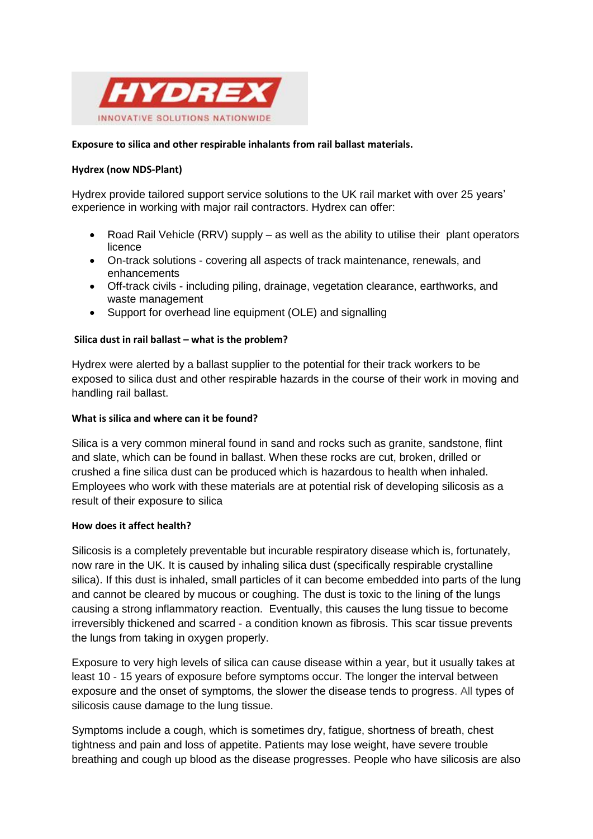

## **Exposure to silica and other respirable inhalants from rail ballast materials.**

## **Hydrex (now NDS-Plant)**

Hydrex provide tailored support service solutions to the UK rail market with over 25 years' experience in working with major rail contractors. Hydrex can offer:

- Road Rail Vehicle (RRV) supply as well as the ability to utilise their plant operators licence
- On-track solutions covering all aspects of track maintenance, renewals, and enhancements
- Off-track civils including piling, drainage, vegetation clearance, earthworks, and waste management
- Support for overhead line equipment (OLE) and signalling

## **Silica dust in rail ballast – what is the problem?**

Hydrex were alerted by a ballast supplier to the potential for their track workers to be exposed to silica dust and other respirable hazards in the course of their work in moving and handling rail ballast.

#### **What is silica and where can it be found?**

Silica is a very common mineral found in sand and rocks such as granite, sandstone, flint and slate, which can be found in ballast. When these rocks are cut, broken, drilled or crushed a fine silica dust can be produced which is hazardous to health when inhaled. Employees who work with these materials are at potential risk of developing silicosis as a result of their exposure to silica

#### **How does it affect health?**

Silicosis is a completely preventable but incurable respiratory disease which is, fortunately, now rare in the UK. It is caused by inhaling silica dust (specifically respirable crystalline silica). If this dust is inhaled, small particles of it can become embedded into parts of the lung and cannot be cleared by mucous or coughing. The dust is toxic to the lining of the lungs causing a strong inflammatory reaction. Eventually, this causes the lung tissue to become irreversibly thickened and scarred - a condition known as fibrosis. This scar tissue prevents the lungs from taking in oxygen properly.

Exposure to very high levels of silica can cause disease within a year, but it usually takes at least 10 - 15 years of exposure before symptoms occur. The longer the interval between exposure and the onset of symptoms, the slower the disease tends to progress. All types of silicosis cause damage to the lung tissue.

Symptoms include a cough, which is sometimes dry, fatigue, shortness of breath, chest tightness and pain and loss of appetite. Patients may lose weight, have severe trouble breathing and cough up blood as the disease progresses. People who have silicosis are also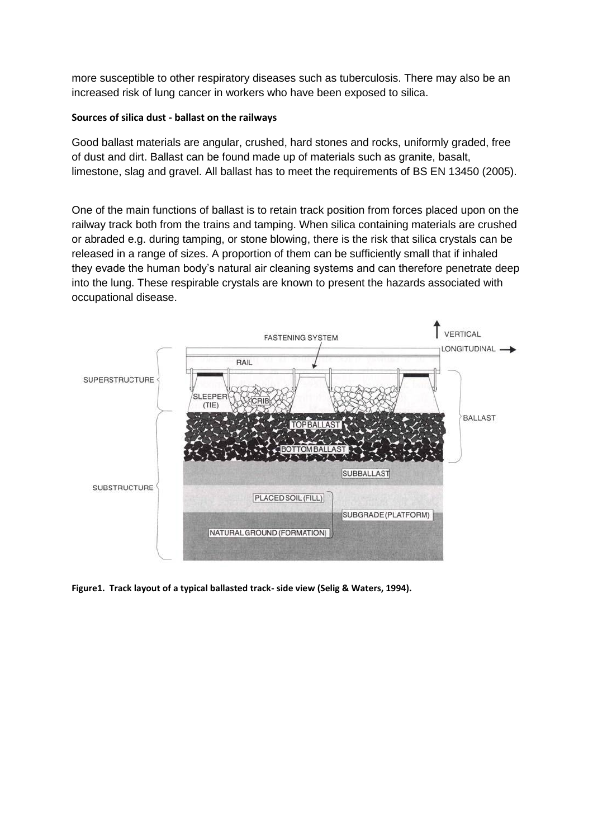more susceptible to other respiratory diseases such as tuberculosis. There may also be an increased risk of lung cancer in workers who have been exposed to silica.

## **Sources of silica dust - ballast on the railways**

Good ballast materials are angular, crushed, hard stones and rocks, uniformly graded, free of dust and dirt. Ballast can be found made up of materials such as granite, basalt, limestone, slag and gravel. All ballast has to meet the requirements of BS EN 13450 (2005).

One of the main functions of ballast is to retain track position from forces placed upon on the railway track both from the trains and tamping. When silica containing materials are crushed or abraded e.g. during tamping, or stone blowing, there is the risk that silica crystals can be released in a range of sizes. A proportion of them can be sufficiently small that if inhaled they evade the human body's natural air cleaning systems and can therefore penetrate deep into the lung. These respirable crystals are known to present the hazards associated with occupational disease.



**Figure1. Track layout of a typical ballasted track- side view (Selig & Waters, 1994).**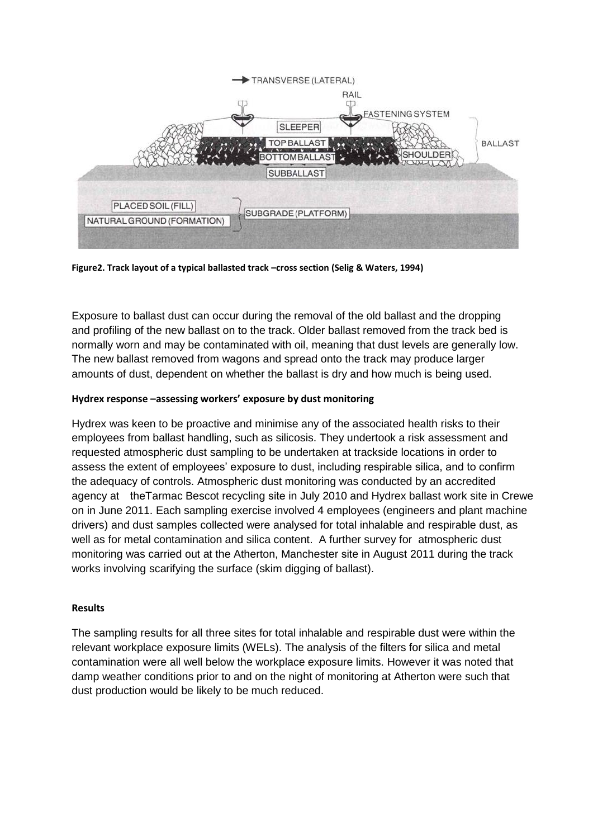

**Figure2. Track layout of a typical ballasted track –cross section (Selig & Waters, 1994)** 

Exposure to ballast dust can occur during the removal of the old ballast and the dropping and profiling of the new ballast on to the track. Older ballast removed from the track bed is normally worn and may be contaminated with oil, meaning that dust levels are generally low. The new ballast removed from wagons and spread onto the track may produce larger amounts of dust, dependent on whether the ballast is dry and how much is being used.

# **Hydrex response –assessing workers' exposure by dust monitoring**

Hydrex was keen to be proactive and minimise any of the associated health risks to their employees from ballast handling, such as silicosis. They undertook a risk assessment and requested atmospheric dust sampling to be undertaken at trackside locations in order to assess the extent of employees' exposure to dust, including respirable silica, and to confirm the adequacy of controls. Atmospheric dust monitoring was conducted by an accredited agency at theTarmac Bescot recycling site in July 2010 and Hydrex ballast work site in Crewe on in June 2011. Each sampling exercise involved 4 employees (engineers and plant machine drivers) and dust samples collected were analysed for total inhalable and respirable dust, as well as for metal contamination and silica content. A further survey for atmospheric dust monitoring was carried out at the Atherton, Manchester site in August 2011 during the track works involving scarifying the surface (skim digging of ballast).

# **Results**

The sampling results for all three sites for total inhalable and respirable dust were within the relevant workplace exposure limits (WELs). The analysis of the filters for silica and metal contamination were all well below the workplace exposure limits. However it was noted that damp weather conditions prior to and on the night of monitoring at Atherton were such that dust production would be likely to be much reduced.